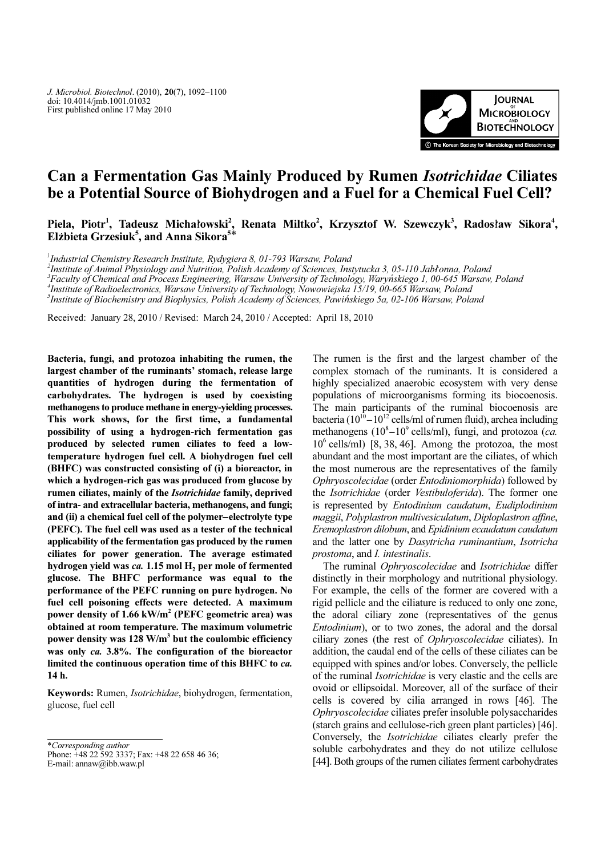

# Can a Fermentation Gas Mainly Produced by Rumen Isotrichidae Ciliates be a Potential Source of Biohydrogen and a Fuel for a Chemical Fuel Cell?

Piela, Piotr<sup>1</sup>, Tadeusz Michałowski<sup>2</sup>, Renata Miltko<sup>2</sup>, Krzysztof W. Szewczyk<sup>3</sup>, Radosław Sikora<sup>4</sup>, Elżbieta Grzesiuk<sup>5</sup>, and Anna Sikora<sup>5\*</sup>

1 Industrial Chemistry Research Institute, Rydygiera 8, 01-793 Warsaw, Poland

Institute of Animal Physiology and Nutrition, Polish Academy of Sciences, Instytucka 3, 05-110 Jabłonna, Poland

<sup>3</sup>Faculty of Chemical and Process Engineering, Warsaw University of Technology, Waryńskiego 1, 00-645 Warsaw, Poland

4 Institute of Radioelectronics, Warsaw University of Technology, Nowowiejska 15/19, 00-665 Warsaw, Poland

 $^5$ Institute of Biochemistry and Biophysics, Polish Academy of Sciences, Pawińskiego 5a, 02-106 Warsaw, Poland

Received: January 28, 2010 / Revised: March 24, 2010 / Accepted: April 18, 2010

Bacteria, fungi, and protozoa inhabiting the rumen, the largest chamber of the ruminants' stomach, release large quantities of hydrogen during the fermentation of carbohydrates. The hydrogen is used by coexisting methanogens to produce methane in energy-yielding processes. This work shows, for the first time, a fundamental possibility of using a hydrogen-rich fermentation gas produced by selected rumen ciliates to feed a lowtemperature hydrogen fuel cell. A biohydrogen fuel cell (BHFC) was constructed consisting of (i) a bioreactor, in which a hydrogen-rich gas was produced from glucose by rumen ciliates, mainly of the Isotrichidae family, deprived of intra- and extracellular bacteria, methanogens, and fungi; and (ii) a chemical fuel cell of the polymer*-*electrolyte type (PEFC). The fuel cell was used as a tester of the technical applicability of the fermentation gas produced by the rumen ciliates for power generation. The average estimated hydrogen yield was  $ca. 1.15$  mol  $H<sub>2</sub>$  per mole of fermented glucose. The BHFC performance was equal to the performance of the PEFC running on pure hydrogen. No fuel cell poisoning effects were detected. A maximum power density of  $1.66 \text{ kW/m}^2$  (PEFC geometric area) was obtained at room temperature. The maximum volumetric power density was  $128 \text{ W/m}^3$  but the coulombic efficiency was only ca. 3.8%. The configuration of the bioreactor limited the continuous operation time of this BHFC to ca. 14 h.

Keywords: Rumen, Isotrichidae, biohydrogen, fermentation, glucose, fuel cell

\*Corresponding author

Phone: +48 22 592 3337; Fax: +48 22 658 46 36; E-mail: annaw@ibb.waw.pl

complex stomach of the ruminants. It is considered a highly specialized anaerobic ecosystem with very dense populations of microorganisms forming its biocoenosis. The main participants of the ruminal biocoenosis are bacteria  $(10^{10} - 10^{12} \text{ cells/ml of rumen fluid})$ , archea including The rumen is the first and the largest chamber of the complex stomach of the ruminants. It is considered a highly specialized anaerobic ecosystem with very dense populations of microorganisms forming its biocoenosis. The methanogens  $(10^8 - 10^9 \text{ cells/ml})$ , fungi, and protozoa (ca. |<br>|<br>|  $10^6$  cells/ml) [8, 38, 46]. Among the protozoa, the most abundant and the most important are the ciliates, of which the most numerous are the representatives of the family Ophryoscolecidae (order Entodiniomorphida) followed by the Isotrichidae (order Vestibuloferida). The former one is represented by Entodinium caudatum, Eudiplodinium maggii, Polyplastron multivesiculatum, Diploplastron affine, Eremoplastron dilobum, and Epidinium ecaudatum caudatum and the latter one by Dasytricha ruminantium, Isotricha prostoma, and I. intestinalis.

The rumen is the first and the largest chamber of the

The ruminal Ophryoscolecidae and Isotrichidae differ distinctly in their morphology and nutritional physiology. For example, the cells of the former are covered with a rigid pellicle and the ciliature is reduced to only one zone, the adoral ciliary zone (representatives of the genus Entodinium), or to two zones, the adoral and the dorsal ciliary zones (the rest of Ophryoscolecidae ciliates). In addition, the caudal end of the cells of these ciliates can be equipped with spines and/or lobes. Conversely, the pellicle of the ruminal Isotrichidae is very elastic and the cells are ovoid or ellipsoidal. Moreover, all of the surface of their cells is covered by cilia arranged in rows [46]. The Ophryoscolecidae ciliates prefer insoluble polysaccharides (starch grains and cellulose-rich green plant particles) [46]. Conversely, the Isotrichidae ciliates clearly prefer the soluble carbohydrates and they do not utilize cellulose [44]. Both groups of the rumen ciliates ferment carbohydrates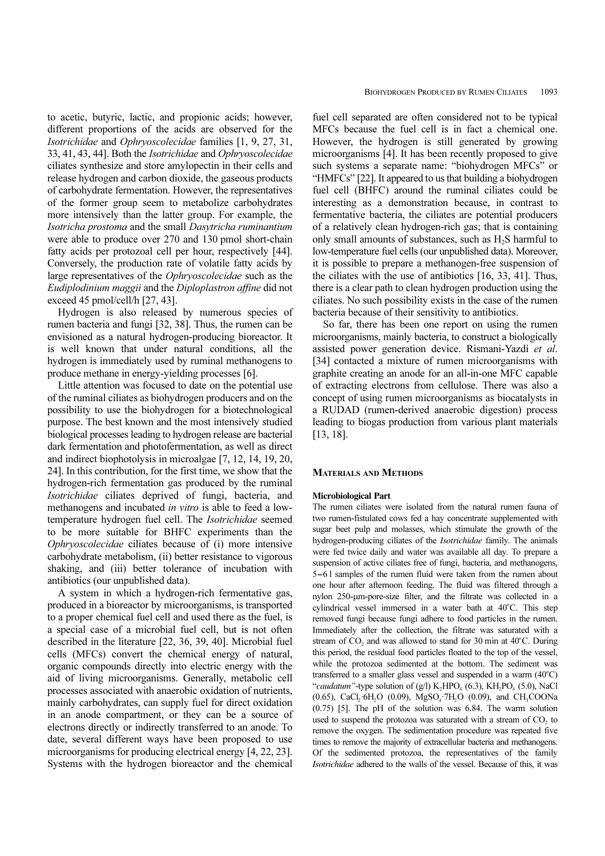to acetic, butyric, lactic, and propionic acids; however, different proportions of the acids are observed for the Isotrichidae and Ophryoscolecidae families [1, 9, 27, 31, 33, 41, 43, 44]. Both the Isotrichidae and Ophryoscolecidae ciliates synthesize and store amylopectin in their cells and release hydrogen and carbon dioxide, the gaseous products of carbohydrate fermentation. However, the representatives of the former group seem to metabolize carbohydrates more intensively than the latter group. For example, the Isotricha prostoma and the small Dasytricha ruminantium were able to produce over 270 and 130 pmol short-chain fatty acids per protozoal cell per hour, respectively [44]. Conversely, the production rate of volatile fatty acids by large representatives of the Ophryoscolecidae such as the Eudiplodinium maggii and the Diploplastron affine did not exceed 45 pmol/cell/h [27, 43].

Hydrogen is also released by numerous species of rumen bacteria and fungi [32, 38]. Thus, the rumen can be envisioned as a natural hydrogen-producing bioreactor. It is well known that under natural conditions, all the hydrogen is immediately used by ruminal methanogens to produce methane in energy-yielding processes [6].

Little attention was focused to date on the potential use of the ruminal ciliates as biohydrogen producers and on the possibility to use the biohydrogen for a biotechnological purpose. The best known and the most intensively studied biological processes leading to hydrogen release are bacterial dark fermentation and photofermentation, as well as direct and indirect biophotolysis in microalgae [7, 12, 14, 19, 20, 24]. In this contribution, for the first time, we show that the hydrogen-rich fermentation gas produced by the ruminal Isotrichidae ciliates deprived of fungi, bacteria, and methanogens and incubated in vitro is able to feed a lowtemperature hydrogen fuel cell. The Isotrichidae seemed to be more suitable for BHFC experiments than the Ophryoscolecidae ciliates because of (i) more intensive carbohydrate metabolism, (ii) better resistance to vigorous shaking, and (iii) better tolerance of incubation with antibiotics (our unpublished data).

A system in which a hydrogen-rich fermentative gas, produced in a bioreactor by microorganisms, is transported to a proper chemical fuel cell and used there as the fuel, is a special case of a microbial fuel cell, but is not often described in the literature [22, 36, 39, 40]. Microbial fuel cells (MFCs) convert the chemical energy of natural, organic compounds directly into electric energy with the aid of living microorganisms. Generally, metabolic cell processes associated with anaerobic oxidation of nutrients, mainly carbohydrates, can supply fuel for direct oxidation in an anode compartment, or they can be a source of electrons directly or indirectly transferred to an anode. To date, several different ways have been proposed to use microorganisms for producing electrical energy [4, 22, 23]. Systems with the hydrogen bioreactor and the chemical

fuel cell separated are often considered not to be typical MFCs because the fuel cell is in fact a chemical one. However, the hydrogen is still generated by growing microorganisms [4]. It has been recently proposed to give such systems a separate name: "biohydrogen MFCs" or "HMFCs" [22]. It appeared to us that building a biohydrogen fuel cell (BHFC) around the ruminal ciliates could be interesting as a demonstration because, in contrast to fermentative bacteria, the ciliates are potential producers of a relatively clean hydrogen-rich gas; that is containing only small amounts of substances, such as H<sub>2</sub>S harmful to low-temperature fuel cells (our unpublished data). Moreover, it is possible to prepare a methanogen-free suspension of the ciliates with the use of antibiotics [16, 33, 41]. Thus, there is a clear path to clean hydrogen production using the ciliates. No such possibility exists in the case of the rumen bacteria because of their sensitivity to antibiotics.

So far, there has been one report on using the rumen microorganisms, mainly bacteria, to construct a biologically assisted power generation device. Rismani-Yazdi et al. [34] contacted a mixture of rumen microorganisms with graphite creating an anode for an all-in-one MFC capable of extracting electrons from cellulose. There was also a concept of using rumen microorganisms as biocatalysts in a RUDAD (rumen-derived anaerobic digestion) process leading to biogas production from various plant materials [13, 18].

#### MATERIALS AND METHODS

#### Microbiological Part

The rumen ciliates were isolated from the natural rumen fauna of two rumen-fistulated cows fed a hay concentrate supplemented with sugar beet pulp and molasses, which stimulate the growth of the hydrogen-producing ciliates of the Isotrichidae family. The animals were fed twice daily and water was available all day. To prepare a suspension of active ciliates free of fungi, bacteria, and methanogens, two rumen-fistulated cows fed a hay concentrate supplemented with<br>sugar beet pulp and molasses, which stimulate the growth of the<br>hydrogen-producing ciliates of the *Isotrichidae* family. The animals<br>were fed twice daily a one hour after afternoon feeding. The fluid was filtered through a nylon 250-um-pore-size filter, and the filtrate was collected in a cylindrical vessel immersed in a water bath at 40°C. This step removed fungi because fungi adhere to food particles in the rumen. Immediately after the collection, the filtrate was saturated with a stream of  $CO<sub>2</sub>$  and was allowed to stand for 30 min at  $40^{\circ}$ C. During this period, the residual food particles floated to the top of the vessel, while the protozoa sedimented at the bottom. The sediment was transferred to a smaller glass vessel and suspended in a warm  $(40^{\circ}C)$ "caudatum"-type solution of  $(g/l)$  K<sub>2</sub>HPO<sub>4</sub> (6.3), KH<sub>2</sub>PO<sub>4</sub> (5.0), NaCl (0.65), CaCl<sub>2</sub>·6H<sub>2</sub>O (0.09), MgSO<sub>4</sub>·7H<sub>2</sub>O (0.09), and CH<sub>3</sub>COONa (0.75) [5]. The pH of the solution was 6.84. The warm solution used to suspend the protozoa was saturated with a stream of  $CO<sub>2</sub>$  to remove the oxygen. The sedimentation procedure was repeated five times to remove the majority of extracellular bacteria and methanogens. Of the sedimented protozoa, the representatives of the family Isotrichidae adhered to the walls of the vessel. Because of this, it was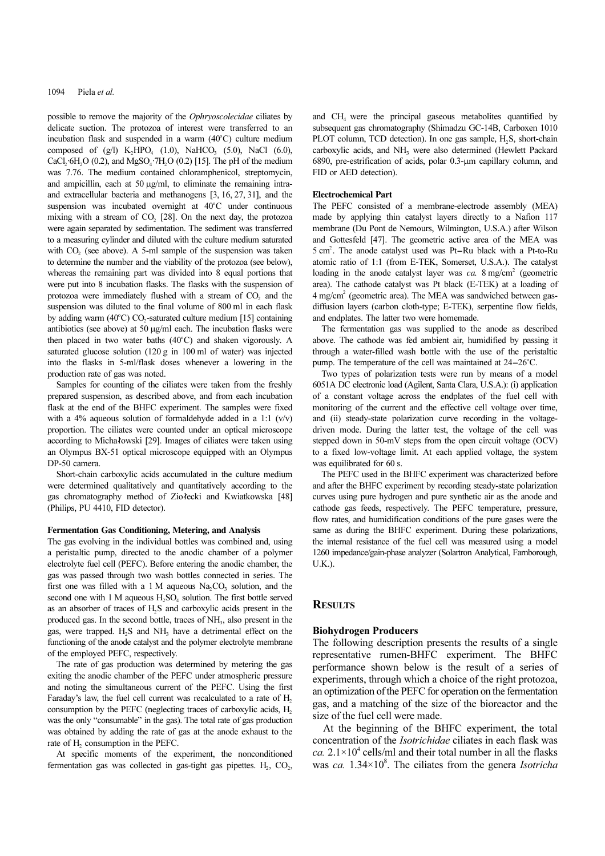possible to remove the majority of the Ophryoscolecidae ciliates by delicate suction. The protozoa of interest were transferred to an incubation flask and suspended in a warm  $(40^{\circ}$ C) culture medium composed of  $(g/l)$  K<sub>2</sub>HPO<sub>4</sub> (1.0), NaHCO<sub>3</sub> (5.0), NaCl (6.0), CaCl<sub>2</sub>·6H<sub>2</sub>O (0.2), and MgSO<sub>4</sub>·7H<sub>2</sub>O (0.2) [15]. The pH of the medium was 7.76. The medium contained chloramphenicol, streptomycin, and ampicillin, each at 50  $\mu$ g/ml, to eliminate the remaining intraand extracellular bacteria and methanogens [3, 16, 27, 31], and the suspension was incubated overnight at  $40^{\circ}$ C under continuous mixing with a stream of  $CO<sub>2</sub>$  [28]. On the next day, the protozoa were again separated by sedimentation. The sediment was transferred to a measuring cylinder and diluted with the culture medium saturated with  $CO<sub>2</sub>$  (see above). A 5-ml sample of the suspension was taken to determine the number and the viability of the protozoa (see below), whereas the remaining part was divided into 8 equal portions that were put into 8 incubation flasks. The flasks with the suspension of protozoa were immediately flushed with a stream of CO<sub>2</sub> and the suspension was diluted to the final volume of 800 ml in each flask by adding warm  $(40^{\circ}C)$  CO<sub>2</sub>-saturated culture medium [15] containing antibiotics (see above) at 50 µg/ml each. The incubation flasks were then placed in two water baths  $(40^{\circ}$ C) and shaken vigorously. A saturated glucose solution (120 g in 100 ml of water) was injected into the flasks in 5-ml/flask doses whenever a lowering in the production rate of gas was noted.

Samples for counting of the ciliates were taken from the freshly prepared suspension, as described above, and from each incubation flask at the end of the BHFC experiment. The samples were fixed with a 4% aqueous solution of formaldehyde added in a 1:1  $(v/v)$ proportion. The ciliates were counted under an optical microscope according to Michałowski [29]. Images of ciliates were taken using an Olympus BX-51 optical microscope equipped with an Olympus DP-50 camera.

Short-chain carboxylic acids accumulated in the culture medium were determined qualitatively and quantitatively according to the gas chromatography method of Ziołecki and Kwiatkowska [48] (Philips, PU 4410, FID detector).

#### Fermentation Gas Conditioning, Metering, and Analysis

The gas evolving in the individual bottles was combined and, using a peristaltic pump, directed to the anodic chamber of a polymer electrolyte fuel cell (PEFC). Before entering the anodic chamber, the gas was passed through two wash bottles connected in series. The first one was filled with a 1 M aqueous  $Na, CO_3$  solution, and the second one with 1 M aqueous  $H_2SO_4$  solution. The first bottle served as an absorber of traces of H2S and carboxylic acids present in the produced gas. In the second bottle, traces of  $NH<sub>3</sub>$ , also present in the gas, were trapped.  $H_2S$  and  $NH_3$  have a detrimental effect on the functioning of the anode catalyst and the polymer electrolyte membrane of the employed PEFC, respectively.

The rate of gas production was determined by metering the gas exiting the anodic chamber of the PEFC under atmospheric pressure and noting the simultaneous current of the PEFC. Using the first Faraday's law, the fuel cell current was recalculated to a rate of  $H_2$ consumption by the PEFC (neglecting traces of carboxylic acids,  $H_2$ ) was the only "consumable" in the gas). The total rate of gas production was obtained by adding the rate of gas at the anode exhaust to the rate of H<sub>2</sub> consumption in the PEFC.

At specific moments of the experiment, the nonconditioned fermentation gas was collected in gas-tight gas pipettes.  $H_2$ ,  $CO_2$ ,

and CH4 were the principal gaseous metabolites quantified by subsequent gas chromatography (Shimadzu GC-14B, Carboxen 1010 PLOT column, TCD detection). In one gas sample, H<sub>2</sub>S, short-chain carboxylic acids, and NH<sub>3</sub> were also determined (Hewlett Packard 6890, pre-estrification of acids, polar 0.3-µm capillary column, and FID or AED detection).

#### Electrochemical Part

The PEFC consisted of a membrane-electrode assembly (MEA) made by applying thin catalyst layers directly to a Nafion 117 membrane (Du Pont de Nemours, Wilmington, U.S.A.) after Wilson and Gottesfeld [47]. The geometric active area of the MEA was **Electrochemical Part**<br>The PEFC consisted of a membrane-electrode assembly (MEA)<br>made by applying thin catalyst layers directly to a Nafion 117<br>membrane (Du Pont de Nemours, Wilmington, U.S.A.) after Wilson<br>and Gottesfeld atomic ratio of 1:1 (from E-TEK, Somerset, U.S.A.). The catalyst loading in the anode catalyst layer was  $ca$ . 8 mg/cm<sup>2</sup> (geometric area). The cathode catalyst was Pt black (E-TEK) at a loading of 4 mg/cm<sup>2</sup> (geometric area). The MEA was sandwiched between gasdiffusion layers (carbon cloth-type; E-TEK), serpentine flow fields, and endplates. The latter two were homemade.

The fermentation gas was supplied to the anode as described above. The cathode was fed ambient air, humidified by passing it through a water-filled wash bottle with the use of the peristaltic diffusion layers (carbon cloth-type; E-TEK), serpentine flow<br>and endplates. The latter two were homemade.<br>The fermentation gas was supplied to the anode as da<br>bove. The cathode was fed ambient air, humidified by pa<br>throug pump. The temperature of the cell was maintained at  $24-26^{\circ}$ C.

Two types of polarization tests were run by means of a model 6051A DC electronic load (Agilent, Santa Clara, U.S.A.): (i) application of a constant voltage across the endplates of the fuel cell with monitoring of the current and the effective cell voltage over time, and (ii) steady-state polarization curve recording in the voltagedriven mode. During the latter test, the voltage of the cell was stepped down in 50-mV steps from the open circuit voltage (OCV) to a fixed low-voltage limit. At each applied voltage, the system was equilibrated for 60 s.

The PEFC used in the BHFC experiment was characterized before and after the BHFC experiment by recording steady-state polarization curves using pure hydrogen and pure synthetic air as the anode and cathode gas feeds, respectively. The PEFC temperature, pressure, flow rates, and humidification conditions of the pure gases were the same as during the BHFC experiment. During these polarizations, the internal resistance of the fuel cell was measured using a model 1260 impedance/gain-phase analyzer (Solartron Analytical, Farnborough,  $IJK$ ).

# **RESULTS**

#### Biohydrogen Producers

The following description presents the results of a single representative rumen-BHFC experiment. The BHFC performance shown below is the result of a series of experiments, through which a choice of the right protozoa, an optimization of the PEFC for operation on the fermentation gas, and a matching of the size of the bioreactor and the size of the fuel cell were made.

At the beginning of the BHFC experiment, the total concentration of the Isotrichidae ciliates in each flask was ca.  $2.1 \times 10^4$  cells/ml and their total number in all the flasks was ca.  $1.34 \times 10^8$ . The ciliates from the genera *Isotricha*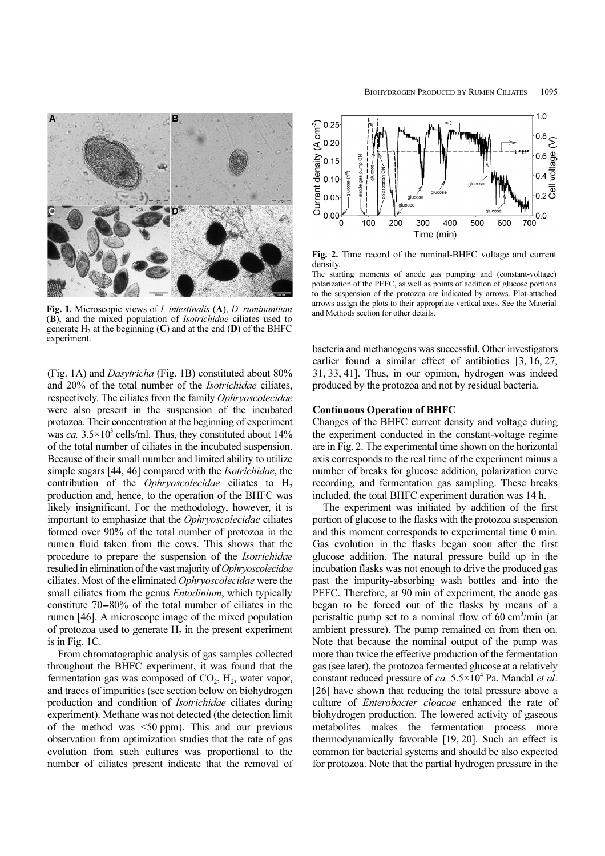

Fig. 1. Microscopic views of I. intestinalis (A), D. ruminantium (B), and the mixed population of Isotrichidae ciliates used to generate  $H_2$  at the beginning  $(C)$  and at the end  $(D)$  of the BHFC experiment.

(Fig. 1A) and Dasytricha (Fig. 1B) constituted about 80% and 20% of the total number of the Isotrichidae ciliates, respectively. The ciliates from the family Ophryoscolecidae were also present in the suspension of the incubated protozoa. Their concentration at the beginning of experiment was ca.  $3.5 \times 10^3$  cells/ml. Thus, they constituted about 14% of the total number of ciliates in the incubated suspension. Because of their small number and limited ability to utilize simple sugars [44, 46] compared with the *Isotrichidae*, the contribution of the *Ophryoscolecidae* ciliates to  $H_2$ production and, hence, to the operation of the BHFC was likely insignificant. For the methodology, however, it is important to emphasize that the Ophryoscolecidae ciliates formed over 90% of the total number of protozoa in the rumen fluid taken from the cows. This shows that the procedure to prepare the suspension of the Isotrichidae resulted in elimination of the vast majority of Ophryoscolecidae ciliates. Most of the eliminated Ophryoscolecidae were the small ciliates from the genus *Entodinium*, which typically rumen fluid taken from the cows. This shows that the procedure to prepare the suspension of the *Isotrichidae* resulted in elimination of the vast majority of *Ophryoscolecidae* ciliates. Most of the eliminated *Ophryoscol* rumen [46]. A microscope image of the mixed population of protozoa used to generate  $H_2$  in the present experiment is in Fig. 1C.

From chromatographic analysis of gas samples collected throughout the BHFC experiment, it was found that the fermentation gas was composed of  $CO<sub>2</sub>$ , H<sub>2</sub>, water vapor, and traces of impurities (see section below on biohydrogen production and condition of Isotrichidae ciliates during experiment). Methane was not detected (the detection limit of the method was  $\leq 50$  ppm). This and our previous observation from optimization studies that the rate of gas evolution from such cultures was proportional to the number of ciliates present indicate that the removal of



Fig. 2. Time record of the ruminal-BHFC voltage and current density.

The starting moments of anode gas pumping and (constant-voltage) polarization of the PEFC, as well as points of addition of glucose portions to the suspension of the protozoa are indicated by arrows. Plot-attached arrows assign the plots to their appropriate vertical axes. See the Material and Methods section for other details.

bacteria and methanogens was successful. Other investigators earlier found a similar effect of antibiotics [3, 16, 27, 31, 33, 41]. Thus, in our opinion, hydrogen was indeed produced by the protozoa and not by residual bacteria.

#### Continuous Operation of BHFC

Changes of the BHFC current density and voltage during the experiment conducted in the constant-voltage regime are in Fig. 2. The experimental time shown on the horizontal axis corresponds to the real time of the experiment minus a number of breaks for glucose addition, polarization curve recording, and fermentation gas sampling. These breaks included, the total BHFC experiment duration was 14 h.

The experiment was initiated by addition of the first portion of glucose to the flasks with the protozoa suspension and this moment corresponds to experimental time 0 min. Gas evolution in the flasks began soon after the first glucose addition. The natural pressure build up in the incubation flasks was not enough to drive the produced gas past the impurity-absorbing wash bottles and into the PEFC. Therefore, at 90 min of experiment, the anode gas began to be forced out of the flasks by means of a peristaltic pump set to a nominal flow of 60 cm<sup>3</sup>/min (at ambient pressure). The pump remained on from then on. Note that because the nominal output of the pump was more than twice the effective production of the fermentation gas (see later), the protozoa fermented glucose at a relatively constant reduced pressure of ca.  $5.5 \times 10^4$  Pa. Mandal *et al.* [26] have shown that reducing the total pressure above a culture of Enterobacter cloacae enhanced the rate of biohydrogen production. The lowered activity of gaseous metabolites makes the fermentation process more thermodynamically favorable [19, 20]. Such an effect is common for bacterial systems and should be also expected for protozoa. Note that the partial hydrogen pressure in the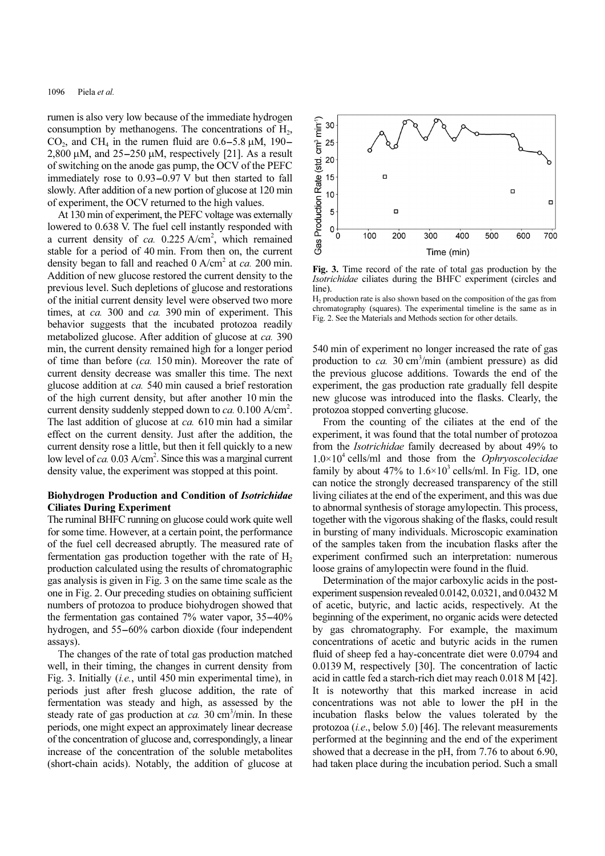rumen is also very low because of the immediate hydrogen consumption by methanogens. The concentrations of  $H<sub>2</sub>$ , 1096 Piela *et al.*<br>
rumen is also very low because of the immediate hydrogen<br>
consumption by methanogens. The concentrations of H<sub>2</sub>,<br>
CO<sub>2</sub>, and CH<sub>4</sub> in the rumen fluid are  $0.6-5.8 \mu M$ , 190– 1096 Piela *et al.*<br>
rumen is also very low because of the immediate hydrogen<br>
consumption by methanogens. The concentrations of H<sub>2</sub>,<br>
CO<sub>2</sub>, and CH<sub>4</sub> in the rumen fluid are 0.6–5.8  $\mu$ M, 190–<br>
2,800  $\mu$ M, and 25–250 of switching on the anode gas pump, the OCV of the PEFC rumen is also very low because of the immediate hydrogen<br>consumption by methanogens. The concentrations of  $H_2$ ,<br>CO<sub>2</sub>, and CH<sub>4</sub> in the rumen fluid are 0.6–5.8  $\mu$ M, 190–<br>2,800  $\mu$ M, and 25–250  $\mu$ M, respectively [21 slowly. After addition of a new portion of glucose at 120 min of experiment, the OCV returned to the high values.

At 130 min of experiment, the PEFC voltage was externally lowered to 0.638 V. The fuel cell instantly responded with a current density of ca.  $0.225$  A/cm<sup>2</sup>, which remained stable for a period of 40 min. From then on, the current density began to fall and reached  $0$  A/cm<sup>2</sup> at *ca*. 200 min. Addition of new glucose restored the current density to the previous level. Such depletions of glucose and restorations of the initial current density level were observed two more times, at *ca.* 300 and *ca.* 390 min of experiment. This behavior suggests that the incubated protozoa readily metabolized glucose. After addition of glucose at ca. 390 min, the current density remained high for a longer period of time than before (ca. 150 min). Moreover the rate of current density decrease was smaller this time. The next glucose addition at ca. 540 min caused a brief restoration of the high current density, but after another 10 min the current density suddenly stepped down to  $ca$ . 0.100 A/cm<sup>2</sup>. The last addition of glucose at ca. 610 min had a similar effect on the current density. Just after the addition, the current density rose a little, but then it fell quickly to a new low level of ca. 0.03 A/cm<sup>2</sup>. Since this was a marginal current density value, the experiment was stopped at this point.

# Biohydrogen Production and Condition of Isotrichidae Ciliates During Experiment

The ruminal BHFC running on glucose could work quite well for some time. However, at a certain point, the performance of the fuel cell decreased abruptly. The measured rate of fermentation gas production together with the rate of  $H_2$ production calculated using the results of chromatographic gas analysis is given in Fig. 3 on the same time scale as the one in Fig. 2. Our preceding studies on obtaining sufficient numbers of protozoa to produce biohydrogen showed that fermentation gas production together with the rate of  $H_2$ <br>production calculated using the results of chromatographic<br>gas analysis is given in Fig. 3 on the same time scale as the<br>one in Fig. 2. Our preceding studies on production calculated using the results of chromatographic<br>gas analysis is given in Fig. 3 on the same time scale as the<br>one in Fig. 2. Our preceding studies on obtaining sufficient<br>numbers of protozoa to produce biohydrog assays).

The changes of the rate of total gas production matched well, in their timing, the changes in current density from Fig. 3. Initially (*i.e.*, until 450 min experimental time), in periods just after fresh glucose addition, the rate of fermentation was steady and high, as assessed by the steady rate of gas production at  $ca$ . 30 cm<sup>3</sup>/min. In these periods, one might expect an approximately linear decrease of the concentration of glucose and, correspondingly, a linear increase of the concentration of the soluble metabolites (short-chain acids). Notably, the addition of glucose at



Fig. 3. Time record of the rate of total gas production by the Isotrichidae ciliates during the BHFC experiment (circles and line).

<sup>H</sup>2 production rate is also shown based on the composition of the gas from chromatography (squares). The experimental timeline is the same as in Fig. 2. See the Materials and Methods section for other details.

540 min of experiment no longer increased the rate of gas production to ca. 30 cm<sup>3</sup>/min (ambient pressure) as did the previous glucose additions. Towards the end of the experiment, the gas production rate gradually fell despite new glucose was introduced into the flasks. Clearly, the protozoa stopped converting glucose.

From the counting of the ciliates at the end of the experiment, it was found that the total number of protozoa from the Isotrichidae family decreased by about 49% to  $1.0\times10^4$  cells/ml and those from the *Ophryoscolecidae* family by about 47% to  $1.6 \times 10^3$  cells/ml. In Fig. 1D, one can notice the strongly decreased transparency of the still living ciliates at the end of the experiment, and this was due to abnormal synthesis of storage amylopectin. This process, together with the vigorous shaking of the flasks, could result in bursting of many individuals. Microscopic examination of the samples taken from the incubation flasks after the experiment confirmed such an interpretation: numerous loose grains of amylopectin were found in the fluid.

Determination of the major carboxylic acids in the postexperiment suspension revealed 0.0142, 0.0321, and 0.0432 M of acetic, butyric, and lactic acids, respectively. At the beginning of the experiment, no organic acids were detected by gas chromatography. For example, the maximum concentrations of acetic and butyric acids in the rumen fluid of sheep fed a hay-concentrate diet were 0.0794 and 0.0139 M, respectively [30]. The concentration of lactic acid in cattle fed a starch-rich diet may reach 0.018 M [42]. It is noteworthy that this marked increase in acid concentrations was not able to lower the pH in the incubation flasks below the values tolerated by the protozoa (i.e., below 5.0) [46]. The relevant measurements performed at the beginning and the end of the experiment showed that a decrease in the pH, from 7.76 to about 6.90, had taken place during the incubation period. Such a small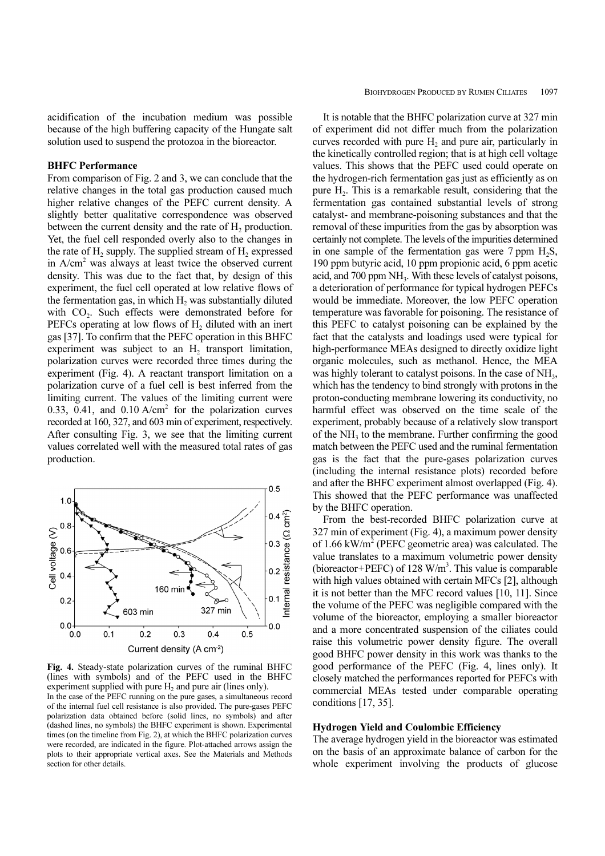acidification of the incubation medium was possible because of the high buffering capacity of the Hungate salt solution used to suspend the protozoa in the bioreactor.

# BHFC Performance

From comparison of Fig. 2 and 3, we can conclude that the relative changes in the total gas production caused much higher relative changes of the PEFC current density. A slightly better qualitative correspondence was observed between the current density and the rate of  $H_2$  production. Yet, the fuel cell responded overly also to the changes in the rate of  $H_2$  supply. The supplied stream of  $H_2$  expressed in A/cm<sup>2</sup> was always at least twice the observed current density. This was due to the fact that, by design of this experiment, the fuel cell operated at low relative flows of the fermentation gas, in which  $H<sub>2</sub>$  was substantially diluted with CO<sub>2</sub>. Such effects were demonstrated before for PEFCs operating at low flows of H<sub>2</sub> diluted with an inert gas [37]. To confirm that the PEFC operation in this BHFC experiment was subject to an  $H_2$  transport limitation, polarization curves were recorded three times during the experiment (Fig. 4). A reactant transport limitation on a polarization curve of a fuel cell is best inferred from the limiting current. The values of the limiting current were 0.33,  $0.41$ , and  $0.10$  A/cm<sup>2</sup> for the polarization curves recorded at 160, 327, and 603 min of experiment, respectively. After consulting Fig. 3, we see that the limiting current values correlated well with the measured total rates of gas production.



Fig. 4. Steady-state polarization curves of the ruminal BHFC (lines with symbols) and of the PEFC used in the BHFC experiment supplied with pure  $H_2$  and pure air (lines only). In the case of the PEFC running on the pure gases, a simultaneous record of the internal fuel cell resistance is also provided. The pure-gases PEFC polarization data obtained before (solid lines, no symbols) and after (dashed lines, no symbols) the BHFC experiment is shown. Experimental times (on the timeline from Fig. 2), at which the BHFC polarization curves were recorded, are indicated in the figure. Plot-attached arrows assign the plots to their appropriate vertical axes. See the Materials and Methods section for other details.

It is notable that the BHFC polarization curve at 327 min of experiment did not differ much from the polarization curves recorded with pure  $H<sub>2</sub>$  and pure air, particularly in the kinetically controlled region; that is at high cell voltage values. This shows that the PEFC used could operate on the hydrogen-rich fermentation gas just as efficiently as on pure H2. This is a remarkable result, considering that the fermentation gas contained substantial levels of strong catalyst- and membrane-poisoning substances and that the removal of these impurities from the gas by absorption was certainly not complete. The levels of the impurities determined in one sample of the fermentation gas were  $7$  ppm  $H_2S$ , 190 ppm butyric acid, 10 ppm propionic acid, 6 ppm acetic acid, and 700 ppm NH<sub>3</sub>. With these levels of catalyst poisons, a deterioration of performance for typical hydrogen PEFCs would be immediate. Moreover, the low PEFC operation temperature was favorable for poisoning. The resistance of this PEFC to catalyst poisoning can be explained by the fact that the catalysts and loadings used were typical for high-performance MEAs designed to directly oxidize light organic molecules, such as methanol. Hence, the MEA was highly tolerant to catalyst poisons. In the case of  $NH<sub>3</sub>$ , which has the tendency to bind strongly with protons in the proton-conducting membrane lowering its conductivity, no harmful effect was observed on the time scale of the experiment, probably because of a relatively slow transport of the  $NH<sub>3</sub>$  to the membrane. Further confirming the good match between the PEFC used and the ruminal fermentation gas is the fact that the pure-gases polarization curves (including the internal resistance plots) recorded before and after the BHFC experiment almost overlapped (Fig. 4). This showed that the PEFC performance was unaffected by the BHFC operation.

From the best-recorded BHFC polarization curve at 327 min of experiment (Fig. 4), a maximum power density of 1.66 kW/m<sup>2</sup> (PEFC geometric area) was calculated. The value translates to a maximum volumetric power density (bioreactor+PEFC) of 128 W/m<sup>3</sup>. This value is comparable with high values obtained with certain MFCs [2], although it is not better than the MFC record values [10, 11]. Since the volume of the PEFC was negligible compared with the volume of the bioreactor, employing a smaller bioreactor and a more concentrated suspension of the ciliates could raise this volumetric power density figure. The overall good BHFC power density in this work was thanks to the good performance of the PEFC (Fig. 4, lines only). It closely matched the performances reported for PEFCs with commercial MEAs tested under comparable operating conditions [17, 35].

## Hydrogen Yield and Coulombic Efficiency

The average hydrogen yield in the bioreactor was estimated on the basis of an approximate balance of carbon for the whole experiment involving the products of glucose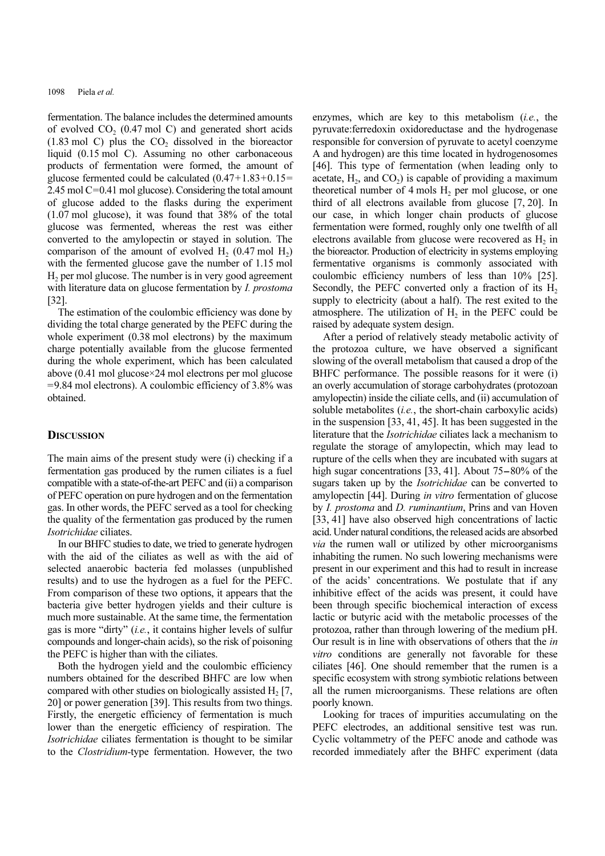fermentation. The balance includes the determined amounts of evolved  $CO<sub>2</sub>$  (0.47 mol C) and generated short acids  $(1.83 \text{ mol C})$  plus the CO<sub>2</sub> dissolved in the bioreactor liquid (0.15 mol C). Assuming no other carbonaceous products of fermentation were formed, the amount of glucose fermented could be calculated  $(0.47+1.83+0.15=$ 2.45 mol C=0.41 mol glucose). Considering the total amount of glucose added to the flasks during the experiment (1.07 mol glucose), it was found that 38% of the total glucose was fermented, whereas the rest was either converted to the amylopectin or stayed in solution. The comparison of the amount of evolved  $H_2$  (0.47 mol  $H_2$ ) with the fermented glucose gave the number of 1.15 mol  $H<sub>2</sub>$  per mol glucose. The number is in very good agreement with literature data on glucose fermentation by *I. prostoma* [32].

The estimation of the coulombic efficiency was done by dividing the total charge generated by the PEFC during the whole experiment (0.38 mol electrons) by the maximum charge potentially available from the glucose fermented during the whole experiment, which has been calculated above (0.41 mol glucose×24 mol electrons per mol glucose  $=$  9.84 mol electrons). A coulombic efficiency of 3.8% was obtained.

## **DISCUSSION**

The main aims of the present study were (i) checking if a fermentation gas produced by the rumen ciliates is a fuel compatible with a state-of-the-art PEFC and (ii) a comparison of PEFC operation on pure hydrogen and on the fermentation gas. In other words, the PEFC served as a tool for checking the quality of the fermentation gas produced by the rumen Isotrichidae ciliates.

In our BHFC studies to date, we tried to generate hydrogen with the aid of the ciliates as well as with the aid of selected anaerobic bacteria fed molasses (unpublished results) and to use the hydrogen as a fuel for the PEFC. From comparison of these two options, it appears that the bacteria give better hydrogen yields and their culture is much more sustainable. At the same time, the fermentation gas is more "dirty" (i.e., it contains higher levels of sulfur compounds and longer-chain acids), so the risk of poisoning the PEFC is higher than with the ciliates.

Both the hydrogen yield and the coulombic efficiency numbers obtained for the described BHFC are low when compared with other studies on biologically assisted  $H<sub>2</sub>$  [7, 20] or power generation [39]. This results from two things. Firstly, the energetic efficiency of fermentation is much lower than the energetic efficiency of respiration. The Isotrichidae ciliates fermentation is thought to be similar to the Clostridium-type fermentation. However, the two

enzymes, which are key to this metabolism  $(i.e.,$  the pyruvate:ferredoxin oxidoreductase and the hydrogenase responsible for conversion of pyruvate to acetyl coenzyme A and hydrogen) are this time located in hydrogenosomes [46]. This type of fermentation (when leading only to acetate,  $H_2$ , and  $CO_2$ ) is capable of providing a maximum theoretical number of  $4 \text{ mols H}_2$  per mol glucose, or one third of all electrons available from glucose [7, 20]. In our case, in which longer chain products of glucose fermentation were formed, roughly only one twelfth of all electrons available from glucose were recovered as  $H_2$  in the bioreactor. Production of electricity in systems employing fermentative organisms is commonly associated with coulombic efficiency numbers of less than 10% [25]. Secondly, the PEFC converted only a fraction of its  $H_2$ supply to electricity (about a half). The rest exited to the atmosphere. The utilization of  $H<sub>2</sub>$  in the PEFC could be raised by adequate system design.

After a period of relatively steady metabolic activity of the protozoa culture, we have observed a significant slowing of the overall metabolism that caused a drop of the BHFC performance. The possible reasons for it were (i) an overly accumulation of storage carbohydrates (protozoan amylopectin) inside the ciliate cells, and (ii) accumulation of soluble metabolites *(i.e.*, the short-chain carboxylic acids) in the suspension [33, 41, 45]. It has been suggested in the literature that the Isotrichidae ciliates lack a mechanism to regulate the storage of amylopectin, which may lead to rupture of the cells when they are incubated with sugars at high sugar concentrations [33, 41]. About 75–80% of the sugars taken up by the Isotrichidae can be converted to amylopectin [44]. During in vitro fermentation of glucose by I. prostoma and D. ruminantium, Prins and van Hoven [33, 41] have also observed high concentrations of lactic acid. Under natural conditions, the released acids are absorbed via the rumen wall or utilized by other microorganisms inhabiting the rumen. No such lowering mechanisms were present in our experiment and this had to result in increase of the acids' concentrations. We postulate that if any inhibitive effect of the acids was present, it could have been through specific biochemical interaction of excess lactic or butyric acid with the metabolic processes of the protozoa, rather than through lowering of the medium pH. Our result is in line with observations of others that the in vitro conditions are generally not favorable for these ciliates [46]. One should remember that the rumen is a specific ecosystem with strong symbiotic relations between all the rumen microorganisms. These relations are often poorly known.

Looking for traces of impurities accumulating on the PEFC electrodes, an additional sensitive test was run. Cyclic voltammetry of the PEFC anode and cathode was recorded immediately after the BHFC experiment (data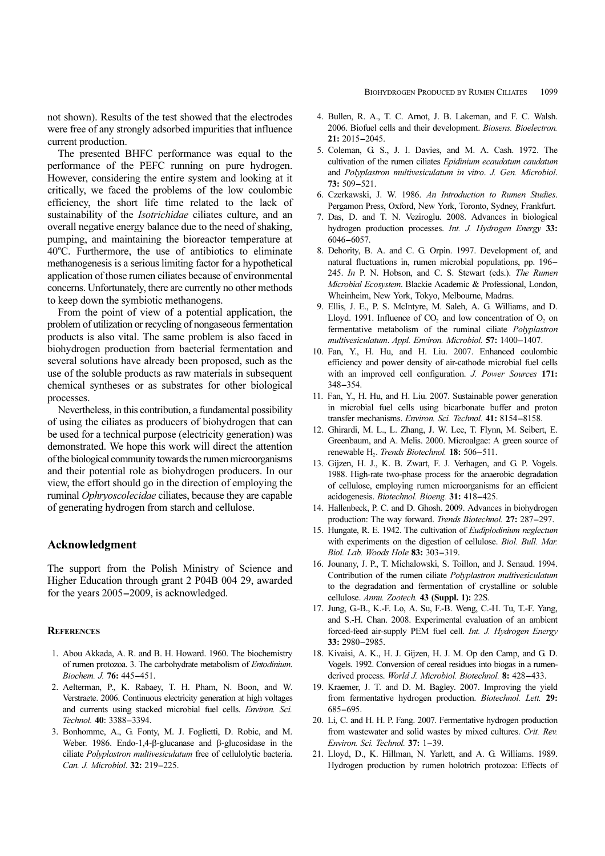not shown). Results of the test showed that the electrodes were free of any strongly adsorbed impurities that influence current production.

The presented BHFC performance was equal to the performance of the PEFC running on pure hydrogen. However, considering the entire system and looking at it critically, we faced the problems of the low coulombic efficiency, the short life time related to the lack of sustainability of the Isotrichidae ciliates culture, and an overall negative energy balance due to the need of shaking, pumping, and maintaining the bioreactor temperature at 40°C. Furthermore, the use of antibiotics to eliminate methanogenesis is a serious limiting factor for a hypothetical application of those rumen ciliates because of environmental concerns. Unfortunately, there are currently no other methods to keep down the symbiotic methanogens.

From the point of view of a potential application, the problem of utilization or recycling of nongaseous fermentation products is also vital. The same problem is also faced in biohydrogen production from bacterial fermentation and several solutions have already been proposed, such as the use of the soluble products as raw materials in subsequent chemical syntheses or as substrates for other biological processes.

Nevertheless, in this contribution, a fundamental possibility of using the ciliates as producers of biohydrogen that can be used for a technical purpose (electricity generation) was demonstrated. We hope this work will direct the attention of the biological community towards the rumen microorganisms and their potential role as biohydrogen producers. In our view, the effort should go in the direction of employing the ruminal Ophryoscolecidae ciliates, because they are capable of generating hydrogen from starch and cellulose.

# Acknowledgment

The support from the Polish Ministry of Science and Higher Education through grant 2 P04B 004 29, awarded for the years 2005-2009, is acknowledged.

#### **REFERENCES**

- 1. Abou Akkada, A. R. and B. H. Howard. 1960. The biochemistry of rumen protozoa. 3. The carbohydrate metabolism of Entodinium. FERENCES<br>Abou Akkada, A. R. and 1<br>of rumen protozoa. 3. The *Giochem. J.* **76:** 445–451.
- 2. Aelterman, P., K. Rabaey, T. H. Pham, N. Boon, and W. Verstraete. 2006. Continuous electricity generation at high voltages and currents using stacked microbial fuel cells. Environ. Sci. of rumen protozoa. 3. The<br>Biochem. J. **76:** 445–451<br>Aelterman, P., K. Raba<br>Verstraete. 2006. Continua<br>and currents using stacl<br>Technol. **40**: 3388–3394.
- 3. Bonhomme, A., G. Fonty, M. J. Foglietti, D. Robic, and M. Weber. 1986. Endo-1,4-β-glucanase and β-glucosidase in the ciliate Polyplastron multivesiculatum free of cellulolytic bacteria. and currents using stacked mic<br> *Technol.* **40**: 3388–3394.<br>
Bonhomme, A., G. Fonty, M.<br>
Weber. 1986. Endo-1,4-β-gluca<br>
ciliate *Polyplastron multivesicula*<br> *Can. J. Microbiol.* **32:** 219–225.
- 4. Bullen, R. A., T. C. Arnot, J. B. Lakeman, and F. C. Walsh. 2006. Biofuel cells and their development. Biosens. Bioelectron. BIOHN<br>
Bullen, R. A., 7<br>
2006. Biofuel co<br> **21:** 2015–2045.
- 5. Coleman, G. S., J. I. Davies, and M. A. Cash. 1972. The cultivation of the rumen ciliates Epidinium ecaudatum caudatum and Polyplastron multivesiculatum in vitro. J. Gen. Microbiol. 2006. Biofuel<br>
21: 2015–204<br>
Coleman, G.<br>
cultivation of<br>
and *Polyplasi*<br>
73: 509–521.
- 6. Czerkawski, J. W. 1986. An Introduction to Rumen Studies. Pergamon Press, Oxford, New York, Toronto, Sydney, Frankfurt.
- 7. Das, D. and T. N. Veziroglu. 2008. Advances in biological hydrogen production processes. Int. J. Hydrogen Energy 33: 73: 509–52<br>Czerkawski,<br>Pergamon P<br>Das, D. an<br>hydrogen p Pergamon Press, Oxford, New York, Toronto, Sydney, Frankfurt.<br>Das, D. and T. N. Veziroglu. 2008. Advances in biological<br>hydrogen production processes. *Int. J. Hydrogen Energy* 33:<br>6046–6057.<br>Dehority, B. A. and C. G. Orpi
- 8. Dehority, B. A. and C. G. Orpin. 1997. Development of, and 245. In P. N. Hobson, and C. S. Stewart (eds.). The Rumen Microbial Ecosystem. Blackie Academic & Professional, London, Wheinheim, New York, Tokyo, Melbourne, Madras.
- 9. Ellis, J. E., P. S. McIntyre, M. Saleh, A. G. Williams, and D. Lloyd. 1991. Influence of  $CO$ , and low concentration of  $O_2$  on fermentative metabolism of the ruminal ciliate Polyplastron *Microbial Ecosystem.* Blackie Academic & Professional, Lon Wheinheim, New York, Tokyo, Melbourne, Madras. Ellis, J. E., P. S. McIntyre, M. Saleh, A. G. Williams, and Lloyd. 1991. Influence of  $CO_2$  and low concentration
- 10. Fan, Y., H. Hu, and H. Liu. 2007. Enhanced coulombic efficiency and power density of air-cathode microbial fuel cells with an improved cell configuration. J. Power Sources 171: rermentat<br>multivesic<br>Fan, Y.,<br>efficiency<br>with an<br>348–354.
- 11. Fan, Y., H. Hu, and H. Liu. 2007. Sustainable power generation in microbial fuel cells using bicarbonate buffer and proton erriciency and power density of air-cathode microbial fuel with an improved cell configuration. *J. Power Sources*<br>348–354.<br>Fan, Y., H. Hu, and H. Liu. 2007. Sustainable power genera<br>in microbial fuel cells using bicarbona
- 12. Ghirardi, M. L., L. Zhang, J. W. Lee, T. Flynn, M. Seibert, E. Greenbaum, and A. Melis. 2000. Microalgae: A green source of Fan, Y., H. Hu, and H. Lut. 2007. Sustainable in microbial fuel cells using bicarbonate bt<br>transfer mechanisms. *Environ. Sci. Technol*. **41:**<br>Ghirardi, M. L., L. Zhang, J. W. Lee, T. Flyni<br>Greenbaum, and A. Melis. 2000. M
- 13. Gijzen, H. J., K. B. Zwart, F. J. Verhagen, and G. P. Vogels. 1988. High-rate two-phase process for the anaerobic degradation of cellulose, employing rumen microorganisms for an efficient Greenbaum, and A. Melis. 2000. Microalgae: A<br>renewable H<sub>2</sub>. *Trends Biotechnol*. **18:** 506–511.<br>Gijzen, H. J., K. B. Zwart, F. J. Verhagen, a<br>1988. High-rate two-phase process for the anaer<br>of cellulose, employing rumen m Gijzen, H. J., K. B. Zwart, F. J. Vernagen, and G. P. Vogels<br>1988. High-rate two-phase process for the anaerobic degradation<br>of cellulose, employing rumen microorganisms for an efficien<br>acidogenesis. *Biotechnol. Bioeng*.
- 14. Hallenbeck, P. C. and D. Ghosh. 2009. Advances in biohydrogen
- 15. Hungate, R. E. 1942. The cultivation of Eudiplodinium neglectum with experiments on the digestion of cellulose. Biol. Bull. Mar. acidogenesis. *Biotechnol. Bioeng.* **31:**<br>Hallenbeck, P. C. and D. Ghosh. 2009<br>production: The way forward. *Trends*<br>Hungate, R. E. 1942. The cultivation<br>with experiments on the digestion of<br>*Biol. Lab. Woods Hole* **83:** 3
- 16. Jounany, J. P., T. Michalowski, S. Toillon, and J. Senaud. 1994. Contribution of the rumen ciliate Polyplastron multivesiculatum to the degradation and fermentation of crystalline or soluble cellulose. Annu. Zootech. 43 (Suppl. 1): 22S.
- 17. Jung, G.-B., K.-F. Lo, A. Su, F.-B. Weng, C.-H. Tu, T.-F. Yang, and S.-H. Chan. 2008. Experimental evaluation of an ambient forced-feed air-supply PEM fuel cell. Int. J. Hydrogen Energy to the degradat<br>cellulose. Annu.<br>Jung, G-B., K.-<br>and S.-H. Chan<br>forced-feed air-s<br>**33:** 2980–2985.
- 18. Kivaisi, A. K., H. J. Gijzen, H. J. M. Op den Camp, and G. D. Vogels. 1992. Conversion of cereal residues into biogas in a rumenand S.-H. Chan. 2008. Experimental evaluation or an ambi-<br>forced-feed air-supply PEM fuel cell. *Int. J. Hydrogen Ene.*<br>33: 2980–2985.<br>Kivaisi, A. K., H. J. Gijzen, H. J. M. Op den Camp, and G.<br>Vogels. 1992. Conversion of
- 19. Kraemer, J. T. and D. M. Bagley. 2007. Improving the yield from fermentative hydrogen production. Biotechnol. Lett. 29: Kivaisi, A<br>Vogels. 19<br>derived pr<br>Kraemer,<br>from ferm<br>685–695.
- 20. Li, C. and H. H. P. Fang. 2007. Fermentative hydrogen production from wastewater and solid wastes by mixed cultures. Crit. Rev. Kraemer, J. 1. and D. M. Bag<br>from fermentative hydrogen pr<br>685–695.<br>Li, C. and H. H. P. Fang. 2007. F<br>from wastewater and solid wast<br>*Environ. Sci. Technol.* **37:** 1–39.
- 21. Lloyd, D., K. Hillman, N. Yarlett, and A. G. Williams. 1989. Hydrogen production by rumen holotrich protozoa: Effects of